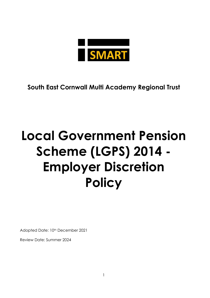

**South East Cornwall Multi Academy Regional Trust**

# **Local Government Pension Scheme (LGPS) 2014 - Employer Discretion Policy**

Adopted Date: 10<sup>th</sup> December 2021

Review Date: Summer 2024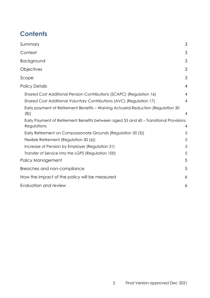# **Contents**

| Summary                                                                                              | 3              |
|------------------------------------------------------------------------------------------------------|----------------|
| Context                                                                                              | 3              |
| Background                                                                                           | 3              |
| Objectives                                                                                           | 3              |
| Scope                                                                                                | 3              |
| <b>Policy Details</b>                                                                                | $\overline{4}$ |
| Shared Cost Additional Pension Contributions (SCAPC) (Regulation 16)                                 | $\overline{4}$ |
| Shared Cost Additional Voluntary Contributions (AVC) (Regulation 17)                                 | 4              |
| Early payment of Retirement Benefits – Waiving Actuarial Reduction (Regulation 30<br>(8)             | 4              |
| Early Payment of Retirement Benefits between aged 55 and 60 - Transitional Provisions<br>Regulations | $\overline{4}$ |
| Early Retirement on Compassionate Grounds (Regulation 30 (5))                                        | 5              |
| Flexible Retirement (Regulation 30 (6))                                                              | 5              |
| Increase of Pension by Employer (Regulation 31)                                                      | 5              |
| Transfer of Service into the LGPS (Regulation 100)                                                   | 5              |
| Policy Management                                                                                    | 5              |
| Breaches and non-compliance                                                                          | 5              |
| How the impact of the policy will be measured                                                        | 6              |
| Evaluation and review                                                                                | 6              |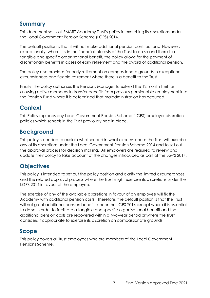## <span id="page-2-0"></span>**Summary**

This document sets out SMART Academy Trust's policy in exercising its discretions under the Local Government Pension Scheme (LGPS) 2014.

The default position is that it will not make additional pension contributions. However, exceptionally, where it is in the financial interests of the Trust to do so and there is a tangible and specific organisational benefit, the policy allows for the payment of discretionary benefits in cases of early retirement and the award of additional pension.

The policy also provides for early retirement on compassionate grounds in exceptional circumstances and flexible retirement where there is a benefit to the Trust.

Finally, the policy authorises the Pensions Manager to extend the 12 month limit for allowing active members to transfer benefits from previous pensionable employment into the Pension Fund where it is determined that maladministration has occurred.

# <span id="page-2-1"></span>**Context**

This Policy replaces any Local Government Pension Scheme (LGPS) employer discretion policies which schools in the Trust previously had in place.

# <span id="page-2-2"></span>**Background**

This policy is needed to explain whether and in what circumstances the Trust will exercise any of its discretions under the Local Government Pension Scheme 2014 and to set out the approval process for decision making. All employers are required to review and update their policy to take account of the changes introduced as part of the LGPS 2014.

# <span id="page-2-3"></span>**Objectives**

This policy is intended to set out the policy position and clarify the limited circumstances and the related approval process where the Trust might exercise its discretions under the LGPS 2014 in favour of the employee.

The exercise of any of the available discretions in favour of an employee will fix the Academy with additional pension costs. Therefore, the default position is that the Trust will not grant additional pension benefits under the LGPS 2014 except where it is essential to do so in order to facilitate a tangible and specific organisational benefit and the additional pension costs are recovered within a two-year period or where the Trust considers it appropriate to exercise its discretion on compassionate grounds.

# <span id="page-2-4"></span>**Scope**

This policy covers all Trust employees who are members of the Local Government Pensions Scheme.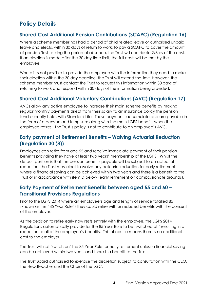# <span id="page-3-0"></span>**Policy Details**

#### <span id="page-3-1"></span>**Shared Cost Additional Pension Contributions (SCAPC) (Regulation 16)**

Where a scheme member has had a period of child related leave or authorised unpaid leave and elects, within 30 days of return to work, to pay a SCAPC to cover the amount of pension 'lost' during the period of absence, the Trust will contribute 2/3rds of the cost. If an election is made after the 30 day time limit, the full costs will be met by the employee.

Where it is not possible to provide the employee with the information they need to make their election within the 30 day deadline, the Trust will extend the limit. However, the scheme member must contact the Trust to request this information within 30 days of returning to work and respond within 30 days of the information being provided.

#### <span id="page-3-2"></span>**Shared Cost Additional Voluntary Contributions (AVC) (Regulation 17)**

AVCs allow any active employee to increase their main scheme benefits by making regular monthly payments direct from their salary to an insurance policy the pension fund currently holds with Standard Life. These payments accumulate and are payable in the form of a pension and lump sum along with the main LGPS benefits when the employee retires. The Trust's policy is not to contribute to an employee's AVC.

#### <span id="page-3-3"></span>**Early payment of Retirement Benefits – Waiving Actuarial Reduction (Regulation 30 (8))**

Employees can retire from age 55 and receive immediate payment of their pension benefits providing they have at least two years' membership of the LGPS. Whilst the default position is that the pension benefits payable will be subject to an actuarial reduction, the Trust may elect to waive any actuarial reduction for early retirement where a financial saving can be achieved within two years and there is a benefit to the Trust or in accordance with item D below (early retirement on compassionate grounds).

#### <span id="page-3-4"></span>**Early Payment of Retirement Benefits between aged 55 and 60 – Transitional Provisions Regulations**

Prior to the LGPS 2014 where an employee's age and length of service totalled 85 (known as the "85 Year Rule") they could retire with unreduced benefits with the consent of the employer.

As the decision to retire early now rests entirely with the employee, the LGPS 2014 Regulations automatically provide for the 85 Year Rule to be 'switched off' resulting in a reduction to all of the employee's benefits. This of course means there is no additional cost to the employer.

The Trust will not 'switch on' the 85 Year Rule for early retirement unless a financial saving can be achieved within two years and there is a benefit to the Trust.

The Trust Board authorised to exercise the discretion subject to consultation with the CEO, the Headteacher and the Chair of the LGC.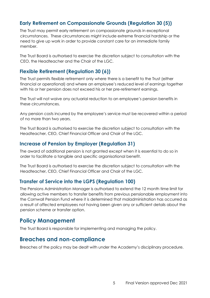#### <span id="page-4-0"></span>**Early Retirement on Compassionate Grounds (Regulation 30 (5))**

The Trust may permit early retirement on compassionate grounds in exceptional circumstances. These circumstances might include extreme financial hardship or the need to give up work in order to provide constant care for an immediate family member.

The Trust Board is authorised to exercise the discretion subject to consultation with the CEO, the Headteacher and the Chair of the LGC.

#### <span id="page-4-1"></span>**Flexible Retirement (Regulation 30 (6))**

The Trust permits flexible retirement only where there is a benefit to the Trust (either financial or operational) and where an employee's reduced level of earnings together with his or her pension does not exceed his or her pre-retirement earnings.

The Trust will not waive any actuarial reduction to an employee's pension benefits in these circumstances.

Any pension costs incurred by the employee's service must be recovered within a period of no more than two years.

The Trust Board is authorised to exercise the discretion subject to consultation with the Headteacher, CEO, Chief Financial Officer and Chair of the LGC.

#### <span id="page-4-2"></span>**Increase of Pension by Employer (Regulation 31)**

The award of additional pension is not granted except when it is essential to do so in order to facilitate a tangible and specific organisational benefit.

The Trust Board is authorised to exercise the discretion subject to consultation with the Headteacher, CEO, Chief Financial Officer and Chair of the LGC.

#### <span id="page-4-3"></span>**Transfer of Service into the LGPS (Regulation 100)**

The Pensions Administration Manager is authorised to extend the 12 month time limit for allowing active members to transfer benefits from previous pensionable employment into the Cornwall Pension Fund where it is determined that maladministration has occurred as a result of affected employees not having been given any or sufficient details about the pension scheme or transfer option.

#### <span id="page-4-4"></span>**Policy Management**

The Trust Board is responsible for implementing and managing the policy.

#### <span id="page-4-5"></span>**Breaches and non-compliance**

Breaches of the policy may be dealt with under the Academy's disciplinary procedure.